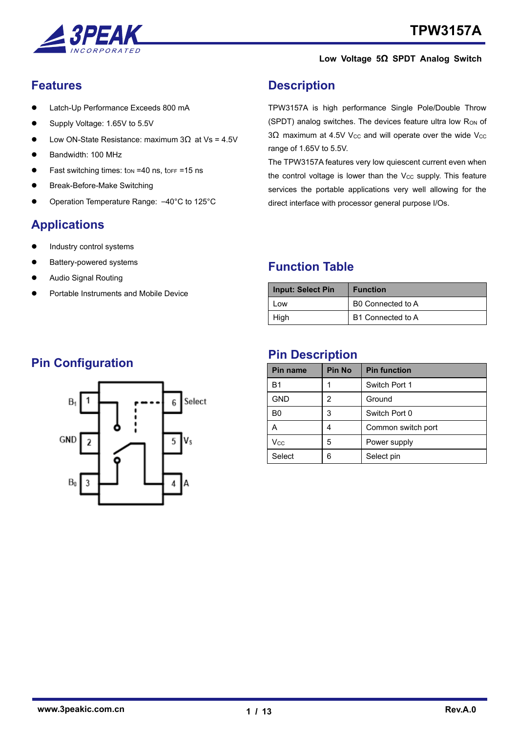

### <span id="page-0-0"></span>**Features**

- ⚫ Latch-Up Performance Exceeds 800 mA
- ⚫ Supply Voltage: 1.65V to 5.5V
- Low ON-State Resistance: maximum  $3Ω$  at Vs = 4.5V
- ⚫ Bandwidth: 100 MHz
- Fast switching times:  $t_{ON} = 40$  ns,  $t_{OFF} = 15$  ns
- ⚫ Break-Before-Make Switching
- ⚫ Operation Temperature Range: –40°C to 125°C

# <span id="page-0-1"></span>**Applications**

- ⚫ Industry control systems
- ⚫ Battery-powered systems
- ⚫ Audio Signal Routing
- ⚫ Portable Instruments and Mobile Device

### <span id="page-0-2"></span>**Description**

TPW3157A is high performance Single Pole/Double Throw (SPDT) analog switches. The devices feature ultra low R<sub>ON</sub> of 3Ω maximum at 4.5V V<sub>CC</sub> and will operate over the wide V<sub>CC</sub> range of 1.65V to 5.5V.

The TPW3157A features very low quiescent current even when the control voltage is lower than the  $V_{CC}$  supply. This feature services the portable applications very well allowing for the direct interface with processor general purpose I/Os.

### <span id="page-0-3"></span>**Function Table**

| <b>Input: Select Pin</b> | <b>Function</b>   |
|--------------------------|-------------------|
| 0 <sub>W</sub>           | B0 Connected to A |
| High                     | B1 Connected to A |

### <span id="page-0-4"></span>**Pin Description**

| Pin name              | <b>Pin No</b> | <b>Pin function</b> |
|-----------------------|---------------|---------------------|
| B1                    |               | Switch Port 1       |
| <b>GND</b>            | 2             | Ground              |
| B <sub>0</sub>        | 3             | Switch Port 0       |
| А                     | 4             | Common switch port  |
| <b>V<sub>cc</sub></b> | 5             | Power supply        |
| Select                | 6             | Select pin          |

## **Pin Configuration**

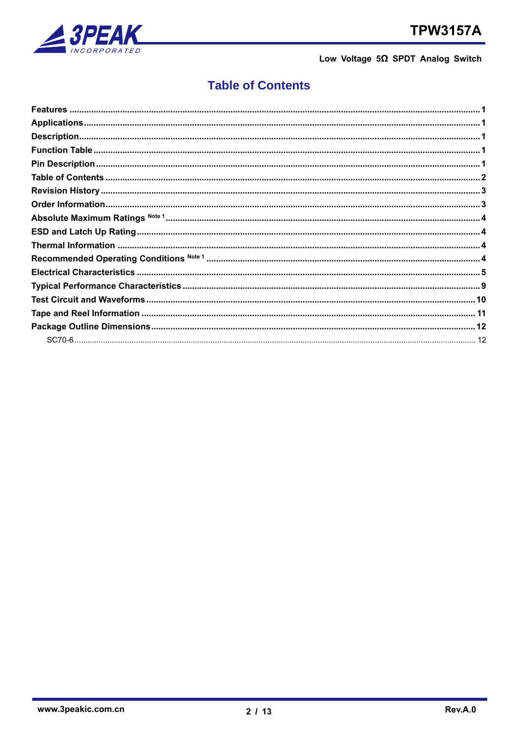

# **Table of Contents**

<span id="page-1-0"></span>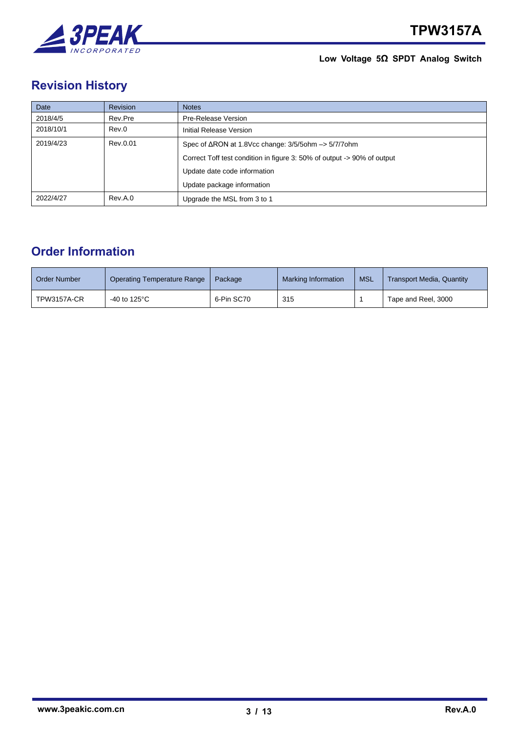

# <span id="page-2-0"></span>**Revision History**

| Date      | <b>Revision</b> | <b>Notes</b>                                                              |
|-----------|-----------------|---------------------------------------------------------------------------|
| 2018/4/5  | Rev.Pre         | Pre-Release Version                                                       |
| 2018/10/1 | Rev.0           | Initial Release Version                                                   |
| 2019/4/23 | Rev.0.01        | Spec of $\triangle$ RON at 1.8Vcc change: 3/5/5ohm $\rightarrow$ 5/7/7ohm |
|           |                 | Correct Toff test condition in figure 3: 50% of output -> 90% of output   |
|           |                 | Update date code information                                              |
|           |                 | Update package information                                                |
| 2022/4/27 | Rev.A.0         | Upgrade the MSL from 3 to 1                                               |

## <span id="page-2-1"></span>**Order Information**

| Order Number | Operating Temperature Range | Package    | Marking Information | <b>MSL</b> | <b>Transport Media, Quantity</b> |
|--------------|-----------------------------|------------|---------------------|------------|----------------------------------|
| TPW3157A-CR  | -40 to 125°C                | 6-Pin SC70 | 315                 |            | Tape and Reel, 3000              |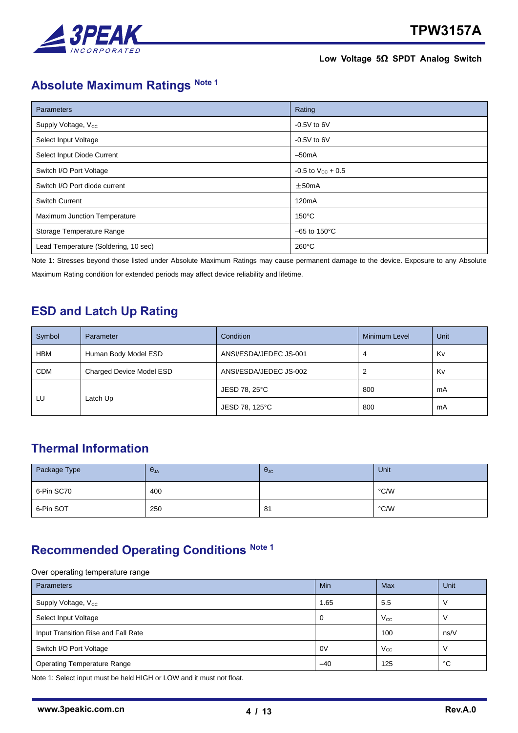

# <span id="page-3-0"></span>**Absolute Maximum Ratings Note 1**

| <b>Parameters</b>                    | Rating                   |
|--------------------------------------|--------------------------|
| Supply Voltage, V <sub>cc</sub>      | $-0.5V$ to 6V            |
| Select Input Voltage                 | $-0.5V$ to 6V            |
| Select Input Diode Current           | $-50mA$                  |
| Switch I/O Port Voltage              | $-0.5$ to $V_{CC}$ + 0.5 |
| Switch I/O Port diode current        | $\pm$ 50mA               |
| <b>Switch Current</b>                | 120 <sub>m</sub> A       |
| <b>Maximum Junction Temperature</b>  | $150^{\circ}$ C          |
| Storage Temperature Range            | $-65$ to 150 $\degree$ C |
| Lead Temperature (Soldering, 10 sec) | $260^{\circ}$ C          |

Note 1: Stresses beyond those listed under Absolute Maximum Ratings may cause permanent damage to the device. Exposure to any Absolute Maximum Rating condition for extended periods may affect device reliability and lifetime.

### <span id="page-3-1"></span>**ESD and Latch Up Rating**

| Symbol     | Parameter                | Condition              | Minimum Level | Unit |
|------------|--------------------------|------------------------|---------------|------|
| HBM        | Human Body Model ESD     | ANSI/ESDA/JEDEC JS-001 | 4             |      |
| <b>CDM</b> | Charged Device Model ESD | ANSI/ESDA/JEDEC JS-002 |               | Kv   |
|            |                          | JESD 78, 25°C          | 800           | mA   |
| LU         | Latch Up                 | JESD 78, 125°C         | 800           | mA   |

## <span id="page-3-2"></span>**Thermal Information**

| Package Type | $\theta_{JA}$ | $\theta_{\text{JC}}$ | Unit |
|--------------|---------------|----------------------|------|
| 6-Pin SC70   | 400           |                      | °C/W |
| 6-Pin SOT    | 250           | 81                   | °C/W |

## <span id="page-3-3"></span>**Recommended Operating Conditions Note 1**

#### Over operating temperature range

| <b>Parameters</b>                   | <b>Min</b> | Max          | Unit |
|-------------------------------------|------------|--------------|------|
| Supply Voltage, V <sub>cc</sub>     | 1.65       | 5.5          |      |
| Select Input Voltage                | 0          | $V_{\rm CC}$ |      |
| Input Transition Rise and Fall Rate |            | 100          | ns/V |
| Switch I/O Port Voltage             | 0V         | $V_{\rm CC}$ |      |
| <b>Operating Temperature Range</b>  | $-40$      | 125          | °C   |

Note 1: Select input must be held HIGH or LOW and it must not float.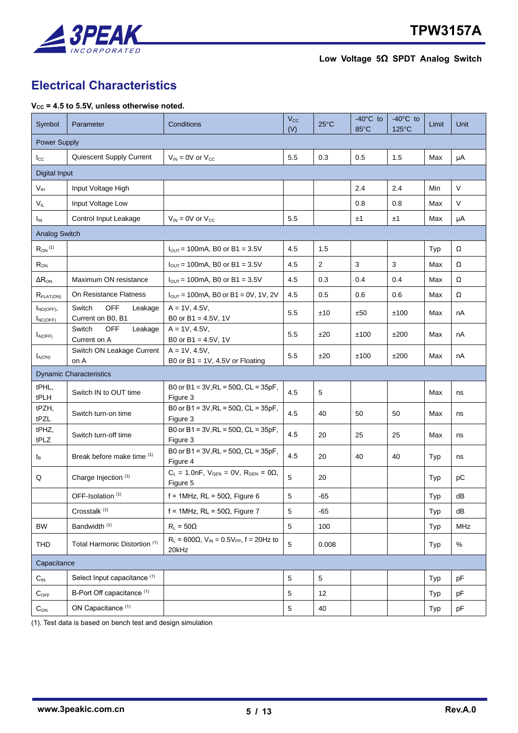

# <span id="page-4-0"></span>**Electrical Characteristics**

#### **VCC = 4.5 to 5.5V, unless otherwise noted.**

| Symbol                         | Parameter                                            | Conditions                                                            | $V_{\rm CC}$<br>(V) | $25^{\circ}$ C | $-40^{\circ}$ C to<br>85°C | $-40^{\circ}$ C to<br>125°C | Limit | Unit       |
|--------------------------------|------------------------------------------------------|-----------------------------------------------------------------------|---------------------|----------------|----------------------------|-----------------------------|-------|------------|
|                                | <b>Power Supply</b>                                  |                                                                       |                     |                |                            |                             |       |            |
| $_{\rm lcc}$                   | Quiescent Supply Current                             | $V_{IN} = 0V$ or $V_{CC}$                                             | 5.5                 | 0.3            | 0.5                        | 1.5                         | Max   | μA         |
| Digital Input                  |                                                      |                                                                       |                     |                |                            |                             |       |            |
| V <sub>IH</sub>                | Input Voltage High                                   |                                                                       |                     |                | 2.4                        | 2.4                         | Min   | $\vee$     |
| $V_{IL}$                       | Input Voltage Low                                    |                                                                       |                     |                | 0.8                        | 0.8                         | Max   | $\vee$     |
| <b>I<sub>IN</sub></b>          | Control Input Leakage                                | $V_{IN} = 0V$ or $V_{CC}$                                             | 5.5                 |                | ±1                         | ±1                          | Max   | μA         |
| <b>Analog Switch</b>           |                                                      |                                                                       |                     |                |                            |                             |       |            |
| $R_{ON}$ <sup>(1)</sup>        |                                                      | $I_{\text{OUT}}$ = 100mA, B0 or B1 = 3.5V                             | 4.5                 | 1.5            |                            |                             | Typ   | Ω          |
| R <sub>ON</sub>                |                                                      | $I_{OUT}$ = 100mA, B0 or B1 = 3.5V                                    | 4.5                 | $\overline{2}$ | 3                          | 3                           | Max   | Ω          |
| $\Delta R_{ON}$                | Maximum ON resistance                                | $I_{\text{OUT}}$ = 100mA, B0 or B1 = 3.5V                             | 4.5                 | 0.3            | 0.4                        | 0.4                         | Max   | Ω          |
| $R_{\text{FLAT(ON)}}$          | On Resistance Flatness                               | $I_{OUT}$ = 100mA, B0 or B1 = 0V, 1V, 2V                              | 4.5                 | 0.5            | 0.6                        | 0.6                         | Max   | Ω          |
| $I_{NO(OFF)}$<br>$I_{NC(OFF)}$ | <b>OFF</b><br>Switch<br>Leakage<br>Current on B0, B1 | $A = 1V, 4.5V,$<br>B0 or B1 = $4.5V$ , 1V                             | 5.5                 | ±10            | ±50                        | ±100                        | Max   | nA         |
| $I_{A(OFF)}$                   | Switch<br>OFF<br>Leakage<br>Current on A             | $A = 1V, 4.5V,$<br>B0 or B1 = $4.5V$ , 1V                             | 5.5                 | ±20            | ±100                       | ±200                        | Max   | nA         |
| $I_{A(ON)}$                    | Switch ON Leakage Current<br>on A                    | $A = 1V, 4.5V,$<br>B0 or B1 = $1V$ , 4.5V or Floating                 | 5.5                 | ±20            | ±100                       | ±200                        | Max   | nA         |
|                                | <b>Dynamic Characteristics</b>                       |                                                                       |                     |                |                            |                             |       |            |
| tPHL,<br>tPLH                  | Switch IN to OUT time                                | B0 or B1 = $3V,RL = 50\Omega$ , CL = $35pF$ ,<br>Figure 3             | 4.5                 | 5              |                            |                             | Max   | ns         |
| tPZH,<br>tPZL                  | Switch turn-on time                                  | B0 or B1 = 3V, RL = $50Ω$ , CL = $35pF$ ,<br>Figure 3                 | 4.5                 | 40             | 50                         | 50                          | Max   | ns         |
| tPHZ,<br>tPLZ                  | Switch turn-off time                                 | B0 or B1 = 3V, RL = $50Ω$ , CL = $35pF$ ,<br>Figure 3                 | 4.5                 | 20             | 25                         | 25                          | Max   | ns         |
| $t_{\mathsf{B}}$               | Break before make time (1)                           | B0 or B1 = $3V,RL = 50\Omega$ , CL = $35pF$ ,<br>Figure 4             | 4.5                 | 20             | 40                         | 40                          | Typ   | ns         |
| Q                              | Charge Injection (1)                                 | $C_L = 1.0nF$ , $V_{GEN} = 0V$ , $R_{GEN} = 0\Omega$ ,<br>Figure 5    | 5                   | 20             |                            |                             | Typ   | pC         |
|                                | OFF-Isolation (1)                                    | f = 1MHz, RL = $50\Omega$ , Figure 6                                  | 5                   | -65            |                            |                             | Typ   | dB         |
|                                | Crosstalk <sup>(1)</sup>                             | f = 1MHz, RL = $50\Omega$ , Figure 7                                  | 5                   | $-65$          |                            |                             | Typ   | dB         |
| <b>BW</b>                      | Bandwidth <sup>(1)</sup>                             | $R_1 = 50\Omega$                                                      | 5                   | 100            |                            |                             | Typ   | <b>MHz</b> |
| THD                            | Total Harmonic Distortion (1)                        | $R_L$ = 600 $\Omega$ , $V_{IN}$ = 0.5 $V_{PP}$ , f = 20Hz to<br>20kHz | 5                   | 0.008          |                            |                             | Typ   | $\%$       |
| Capacitance                    |                                                      |                                                                       |                     |                |                            |                             |       |            |
| $C_{IN}$                       | Select Input capacitance (1)                         |                                                                       | 5                   | 5              |                            |                             | Typ   | pF         |
| $C_{OFF}$                      | B-Port Off capacitance (1)                           |                                                                       | 5                   | 12             |                            |                             | Typ   | pF         |
| $C_{ON}$                       | ON Capacitance <sup>(1)</sup>                        |                                                                       | 5                   | 40             |                            |                             | Typ   | pF         |

(1). Test data is based on bench test and design simulation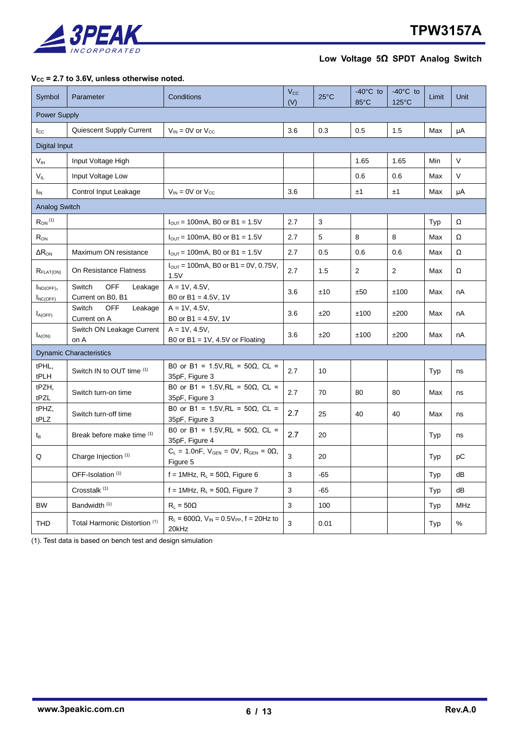

### **VCC = 2.7 to 3.6V, unless otherwise noted.**

| Symbol                         | Parameter                                            | Conditions                                                            | $V_{\rm CC}$<br>(V) | $25^{\circ}$ C | $-40^{\circ}$ C to<br>85°C | $-40^{\circ}$ C to<br>125°C | Limit | Unit       |
|--------------------------------|------------------------------------------------------|-----------------------------------------------------------------------|---------------------|----------------|----------------------------|-----------------------------|-------|------------|
| <b>Power Supply</b>            |                                                      |                                                                       |                     |                |                            |                             |       |            |
| $I_{\rm CC}$                   | Quiescent Supply Current                             | $V_{IN}$ = 0V or $V_{CC}$                                             | 3.6                 | 0.3            | 0.5                        | 1.5                         | Max   | μA         |
| Digital Input                  |                                                      |                                                                       |                     |                |                            |                             |       |            |
| V <sub>IH</sub>                | Input Voltage High                                   |                                                                       |                     |                | 1.65                       | 1.65                        | Min   | $\vee$     |
| $V_{IL}$                       | Input Voltage Low                                    |                                                                       |                     |                | 0.6                        | 0.6                         | Max   | $\vee$     |
| $I_{IN}$                       | Control Input Leakage                                | $V_{IN} = 0V$ or $V_{CC}$                                             | 3.6                 |                | ±1                         | ±1                          | Max   | μA         |
| Analog Switch                  |                                                      |                                                                       |                     |                |                            |                             |       |            |
| $R_{ON}$ <sup>(1)</sup>        |                                                      | $I_{OUT}$ = 100mA, B0 or B1 = 1.5V                                    | 2.7                 | $\sqrt{3}$     |                            |                             | Typ   | Ω          |
| $R_{\rm ON}$                   |                                                      | $I_{OUT}$ = 100mA, B0 or B1 = 1.5V                                    | 2.7                 | $\sqrt{5}$     | 8                          | 8                           | Max   | Ω          |
| $\Delta R_{\rm ON}$            | Maximum ON resistance                                | $I_{OUT}$ = 100mA, B0 or B1 = 1.5V                                    | 2.7                 | 0.5            | 0.6                        | 0.6                         | Max   | Ω          |
| $R_{\text{FLATION}}$           | On Resistance Flatness                               | $I_{\text{OUT}} = 100 \text{mA}$ , B0 or B1 = 0V, 0.75V,<br>1.5V      | 2.7                 | 1.5            | 2                          | 2                           | Max   | Ω          |
| $I_{NO(OFF)}$<br>$I_{NC(OFF)}$ | Switch<br><b>OFF</b><br>Leakage<br>Current on B0, B1 | $A = 1V, 4.5V,$<br>B0 or B1 = $4.5V$ , 1V                             | 3.6                 | ±10            | ±50                        | ±100                        | Max   | nA         |
| $I_{A(OFF)}$                   | Switch<br><b>OFF</b><br>Leakage<br>Current on A      | $A = 1V, 4.5V,$<br>B0 or B1 = $4.5V$ , 1V                             | 3.6                 | ±20            | ±100                       | ±200                        | Max   | nA         |
| $I_{A(ON)}$                    | Switch ON Leakage Current<br>on A                    | $A = 1V, 4.5V,$<br>B0 or B1 = $1V$ , 4.5V or Floating                 | 3.6                 | ±20            | ±100                       | ±200                        | Max   | nA         |
|                                | <b>Dynamic Characteristics</b>                       |                                                                       |                     |                |                            |                             |       |            |
| tPHL,<br>tPLH                  | Switch IN to OUT time (1)                            | B0 or B1 = 1.5V, RL = 50Ω, CL =<br>35pF, Figure 3                     | 2.7                 | 10             |                            |                             | Typ   | ns         |
| tPZH,<br>tPZL                  | Switch turn-on time                                  | B0 or B1 = 1.5V, RL = $50\Omega$ , CL =<br>35pF, Figure 3             | 2.7                 | 70             | 80                         | 80                          | Max   | ns         |
| tPHZ,<br>tPLZ                  | Switch turn-off time                                 | B0 or B1 = 1.5V, RL = 50Ω, CL =<br>35pF, Figure 3                     | 2.7                 | 25             | 40                         | 40                          | Max   | ns         |
| tв                             | Break before make time (1)                           | B0 or B1 = 1.5V, RL = $50\Omega$ , CL =<br>35pF, Figure 4             | 2.7                 | 20             |                            |                             | Typ   | ns         |
| Q                              | Charge Injection (1)                                 | $C_L = 1.0nF$ , $V_{GEN} = 0V$ , $R_{GEN} = 0\Omega$ ,<br>Figure 5    | 3                   | 20             |                            |                             | Typ   | рC         |
|                                | OFF-Isolation (1)                                    | f = 1MHz, $R_L$ = 50 $\Omega$ , Figure 6                              | 3                   | $-65$          |                            |                             | Typ   | dB         |
|                                | Crosstalk <sup>(1)</sup>                             | f = 1MHz, $R_L$ = 50 $\Omega$ , Figure 7                              | 3                   | $-65$          |                            |                             | Typ   | dB         |
| <b>BW</b>                      | Bandwidth <sup>(1)</sup>                             | $R_1 = 50\Omega$                                                      | $\mathbf{3}$        | 100            |                            |                             | Typ   | <b>MHz</b> |
| <b>THD</b>                     | Total Harmonic Distortion (1)                        | $R_L$ = 600 $\Omega$ , $V_{IN}$ = 0.5 $V_{PP}$ , f = 20Hz to<br>20kHz | 3                   | 0.01           |                            |                             | Typ   | %          |

(1). Test data is based on bench test and design simulation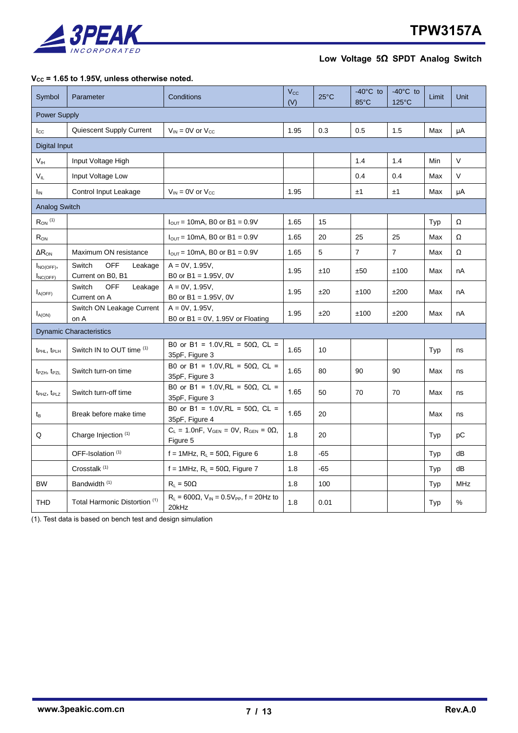

#### **VCC = 1.65 to 1.95V, unless otherwise noted.**

| Symbol                              | Parameter                                            | Conditions                                                              | $V_{\rm CC}$<br>(V) | $25^{\circ}$ C | $-40^{\circ}$ C to<br>$85^{\circ}$ C | $-40^{\circ}$ C to<br>$125^{\circ}$ C | Limit | Unit       |
|-------------------------------------|------------------------------------------------------|-------------------------------------------------------------------------|---------------------|----------------|--------------------------------------|---------------------------------------|-------|------------|
| <b>Power Supply</b>                 |                                                      |                                                                         |                     |                |                                      |                                       |       |            |
| $_{\rm lcc}$                        | Quiescent Supply Current                             | $V_{IN} = 0V$ or $V_{CC}$                                               | 1.95                | 0.3            | 0.5                                  | 1.5                                   | Max   | μA         |
| Digital Input                       |                                                      |                                                                         |                     |                |                                      |                                       |       |            |
| V <sub>IH</sub>                     | Input Voltage High                                   |                                                                         |                     |                | 1.4                                  | 1.4                                   | Min   | $\vee$     |
| $V_{IL}$                            | Input Voltage Low                                    |                                                                         |                     |                | 0.4                                  | 0.4                                   | Max   | $\vee$     |
| I <sub>IN</sub>                     | Control Input Leakage                                | $V_{IN}$ = 0V or $V_{CC}$                                               | 1.95                |                | ±1                                   | ±1                                    | Max   | μA         |
| <b>Analog Switch</b>                |                                                      |                                                                         |                     |                |                                      |                                       |       |            |
| $R_{ON}$ (1)                        |                                                      | $I_{\text{OUT}}$ = 10mA, B0 or B1 = 0.9V                                | 1.65                | 15             |                                      |                                       | Typ   | Ω          |
| $\mathsf{R}_{\mathsf{ON}}$          |                                                      | $I_{\text{OUT}}$ = 10mA, B0 or B1 = 0.9V                                | 1.65                | 20             | 25                                   | 25                                    | Max   | Ω          |
| $\Delta R_{\rm ON}$                 | Maximum ON resistance                                | $I_{\text{OUT}}$ = 10mA, B0 or B1 = 0.9V                                | 1.65                | 5              | $\overline{7}$                       | $\overline{7}$                        | Max   | Ω          |
| $I_{NO(OFF)}$<br>$I_{NC(OFF)}$      | <b>OFF</b><br>Switch<br>Leakage<br>Current on B0, B1 | $A = 0V$ , 1.95V,<br>B0 or $B1 = 1.95V$ , 0V                            | 1.95                | ±10            | ±50                                  | ±100                                  | Max   | nA         |
| $I_{A(OFF)}$                        | Switch<br><b>OFF</b><br>Leakage<br>Current on A      | $A = 0V$ , 1.95V,<br>B0 or B1 = 1.95V, 0V                               | 1.95                | ±20            | ±100                                 | ±200                                  | Max   | nA         |
| $I_{A(ON)}$                         | Switch ON Leakage Current<br>on A                    | $A = 0V$ , 1.95V,<br>B0 or B1 = $0V$ , 1.95V or Floating                | 1.95                | ±20            | ±100                                 | ±200                                  | Max   | nA         |
|                                     | <b>Dynamic Characteristics</b>                       |                                                                         |                     |                |                                      |                                       |       |            |
| t <sub>PHL</sub> , t <sub>PLH</sub> | Switch IN to OUT time (1)                            | B0 or B1 = 1.0V, RL = 50Ω, CL =<br>35pF, Figure 3                       | 1.65                | 10             |                                      |                                       | Typ   | ns         |
| $t_{PZH}$ , $t_{PZL}$               | Switch turn-on time                                  | B0 or B1 = 1.0V, RL = 50Ω, CL =<br>35pF, Figure 3                       | 1.65                | 80             | 90                                   | 90                                    | Max   | ns         |
| t <sub>PHZ</sub> , t <sub>PLZ</sub> | Switch turn-off time                                 | B0 or B1 = 1.0V, RL = 50Ω, CL =<br>35pF, Figure 3                       | 1.65                | 50             | 70                                   | 70                                    | Max   | ns         |
| $t_{\mathsf{B}}$                    | Break before make time                               | B0 or B1 = 1.0V, RL = 50Ω, CL =<br>35pF, Figure 4                       | 1.65                | 20             |                                      |                                       | Max   | ns         |
| Q                                   | Charge Injection (1)                                 | $C_L = 1.0nF$ , $V_{GEN} = 0V$ , $R_{GEN} = 0\Omega$ ,<br>Figure 5      | 1.8                 | 20             |                                      |                                       | Typ   | рC         |
|                                     | OFF-Isolation (1)                                    | f = 1MHz, $R_L$ = 50 $\Omega$ , Figure 6                                | 1.8                 | $-65$          |                                      |                                       | Typ   | dB         |
|                                     | Crosstalk <sup>(1)</sup>                             | f = 1MHz, $R_L$ = 50 $\Omega$ , Figure 7                                | 1.8                 | $-65$          |                                      |                                       | Typ   | dB         |
| <b>BW</b>                           | Bandwidth <sup>(1)</sup>                             | $R_L = 50\Omega$                                                        | 1.8                 | 100            |                                      |                                       | Typ   | <b>MHz</b> |
| <b>THD</b>                          | Total Harmonic Distortion (1)                        | $R_{L}$ = 600 $\Omega$ , $V_{IN}$ = 0.5 $V_{PP}$ , f = 20Hz to<br>20kHz | 1.8                 | 0.01           |                                      |                                       | Typ   | $\%$       |

(1). Test data is based on bench test and design simulation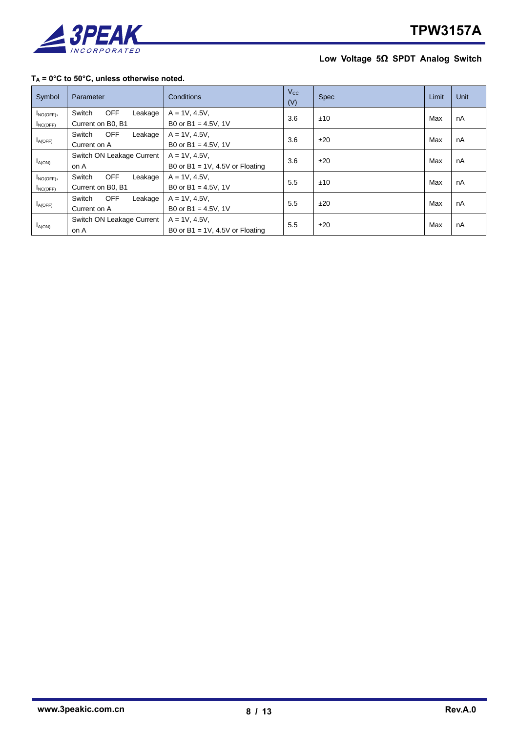

### **T<sup>A</sup> = 0°C to 50°C, unless otherwise noted.**

| Symbol        | Parameter                       | Conditions                         | $V_{\rm CC}$<br>(V) | <b>Spec</b> | Limit | <b>Unit</b> |
|---------------|---------------------------------|------------------------------------|---------------------|-------------|-------|-------------|
| $I_{NO(OFF)}$ | <b>OFF</b><br>Switch<br>Leakage | $A = 1V, 4.5V,$                    | 3.6                 | ±10         | Max   | nA          |
| $I_{NC(OFF)}$ | Current on B0, B1               | B0 or B1 = $4.5V$ , 1V             |                     |             |       |             |
| $I_{A(OFF)}$  | <b>OFF</b><br>Leakage<br>Switch | $A = 1V, 4.5V,$                    | 3.6                 | ±20         | Max   | nA          |
|               | Current on A                    | B0 or B1 = $4.5V$ , 1V             |                     |             |       |             |
|               | Switch ON Leakage Current       | $A = 1V, 4.5V,$                    | 3.6                 |             | Max   | nA          |
| $I_{A(ON)}$   | on A                            | B0 or B1 = $1V$ , 4.5V or Floating |                     | ±20         |       |             |
| $I_{NO(OFF)}$ | <b>OFF</b><br>Switch<br>Leakage | $A = 1V, 4.5V,$                    | 5.5                 | ±10         | Max   | nA          |
| $I_{NC(OFF)}$ | Current on B0, B1               | B0 or B1 = $4.5V$ , 1V             |                     |             |       |             |
| $I_{A(OFF)}$  | <b>OFF</b><br>Switch<br>Leakage | $A = 1V, 4.5V,$                    |                     | ±20         | Max   | nA          |
|               | Current on A                    | B0 or B1 = $4.5V$ , 1V             | 5.5                 |             |       |             |
| $I_{A(ON)}$   | Switch ON Leakage Current       | $A = 1V, 4.5V,$                    | 5.5                 | ±20         | Max   | nA          |
|               | on A                            | B0 or B1 = $1V$ , 4.5V or Floating |                     |             |       |             |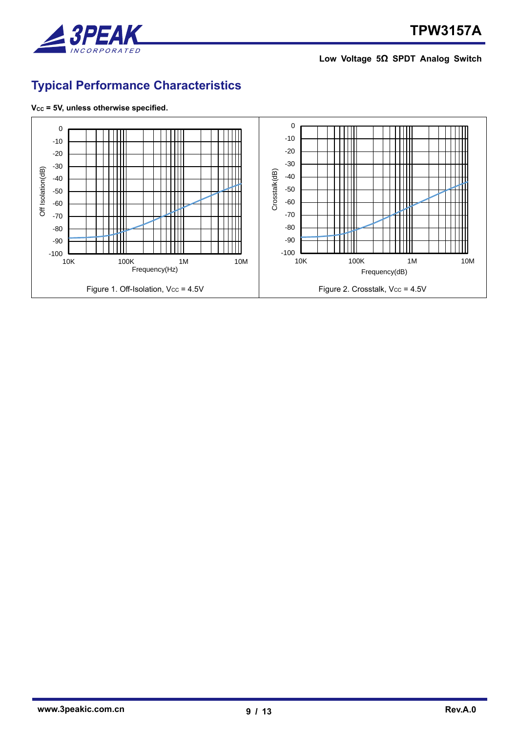

# <span id="page-8-0"></span>**Typical Performance Characteristics**



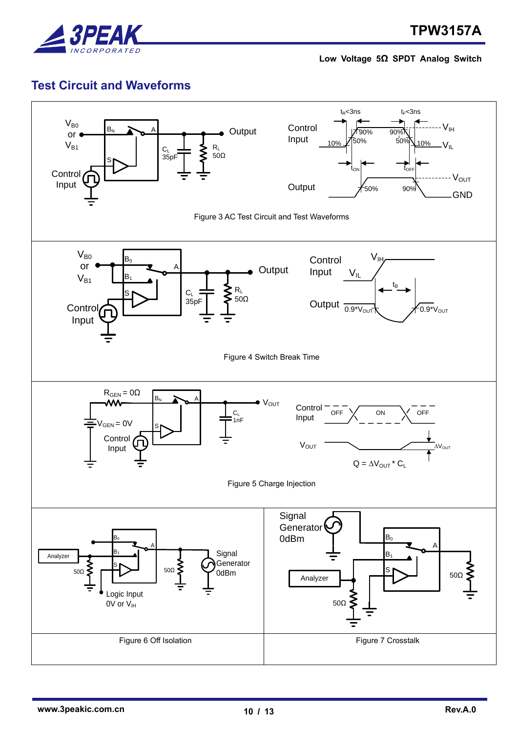

## <span id="page-9-0"></span>**Test Circuit and Waveforms**

<span id="page-9-5"></span><span id="page-9-4"></span><span id="page-9-3"></span><span id="page-9-2"></span><span id="page-9-1"></span>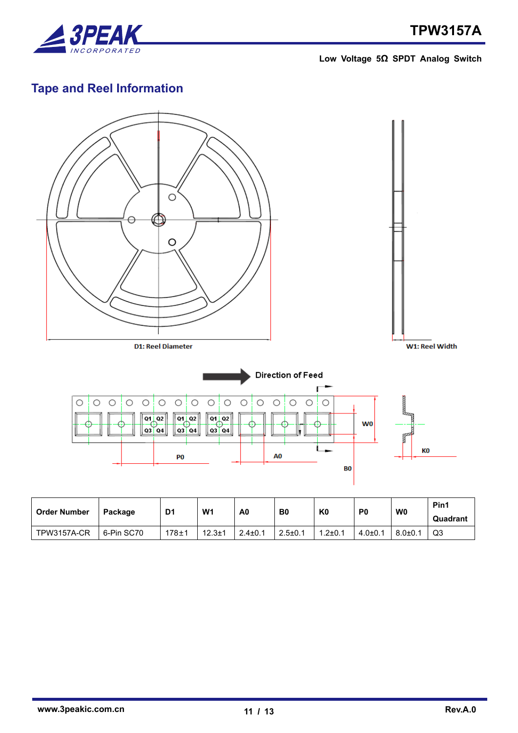

# <span id="page-10-0"></span>**Tape and Reel Information**



| <b>Order Number</b> | Package    | D <sub>1</sub> | W <sub>1</sub> | A0            | B <sub>0</sub> | K <sub>0</sub> | P <sub>0</sub> | W <sub>0</sub> | Pin1<br>Quadrant |
|---------------------|------------|----------------|----------------|---------------|----------------|----------------|----------------|----------------|------------------|
|                     |            |                |                |               |                |                |                |                |                  |
| TPW3157A-CR         | 6-Pin SC70 | $178 + 1$      | $12.3 \pm 1$   | $2.4 \pm 0.1$ | $2.5 \pm 0.1$  | $1.2 \pm 0.1$  | $4.0{\pm}0.1$  | $8.0{\pm}0.1$  | Q3               |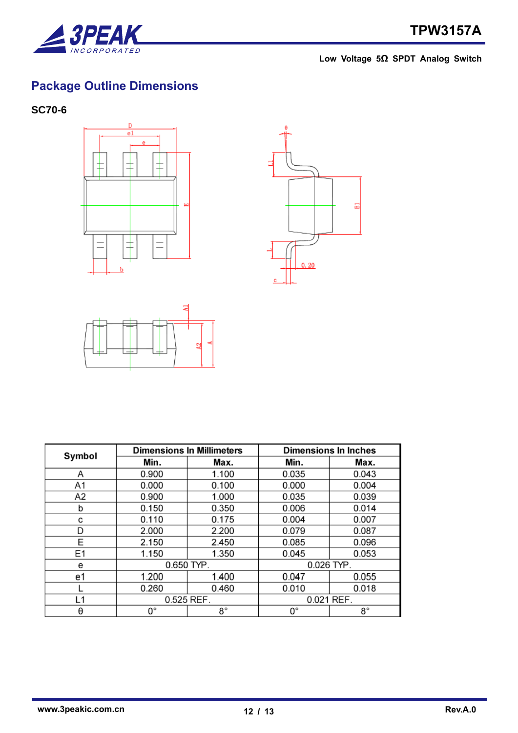

# <span id="page-11-0"></span>**Package Outline Dimensions**

### <span id="page-11-1"></span>**SC70-6**







| Symbol |              | <b>Dimensions In Millimeters</b> | <b>Dimensions In Inches</b> |       |  |
|--------|--------------|----------------------------------|-----------------------------|-------|--|
|        | Min.         | Max.                             | Min.                        | Max.  |  |
| Α      | 0.900        | 1.100                            | 0.035                       | 0.043 |  |
| A1     | 0.000        | 0.100                            | 0.000                       | 0.004 |  |
| A2     | 0.900        | 1.000                            | 0.035                       | 0.039 |  |
| b      | 0.150        | 0.350                            | 0.006                       | 0.014 |  |
| c      | 0.110        | 0.175                            | 0.004                       | 0.007 |  |
| D      | 2.000        | 2.200                            | 0.079                       | 0.087 |  |
| E      | 2.150        | 2.450                            | 0.085                       | 0.096 |  |
| E1     | 1.150        | 1.350                            | 0.045                       | 0.053 |  |
| е      | $0.650$ TYP. |                                  | 0.026 TYP.                  |       |  |
| e1     | 1.200        | 1.400                            | 0.047                       | 0.055 |  |
|        | 0.260        | 0.460                            | 0.010                       | 0.018 |  |
| L1     | 0.525 REF.   |                                  | 0.021 REF.                  |       |  |
| θ      | О°           | 8°                               | 0°                          | 8°    |  |